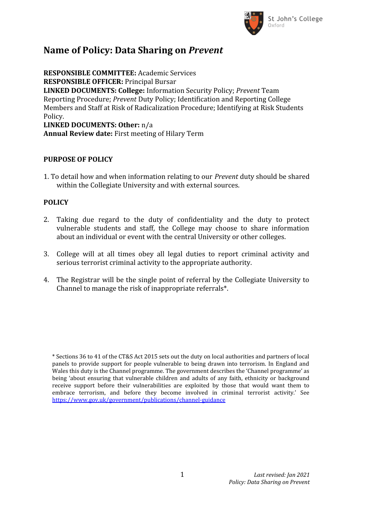

## **Name of Policy: Data Sharing on** *Prevent*

**RESPONSIBLE COMMITTEE:** Academic Services **RESPONSIBLE OFFICER:** Principal Bursar **LINKED DOCUMENTS: College:** Information Security Policy; *Prevent* Team Reporting Procedure; *Prevent* Duty Policy; Identification and Reporting College Members and Staff at Risk of Radicalization Procedure; Identifying at Risk Students Policy. **LINKED DOCUMENTS: Other:** n/a **Annual Review date:** First meeting of Hilary Term

## **PURPOSE OF POLICY**

1. To detail how and when information relating to our *Prevent* duty should be shared within the Collegiate University and with external sources.

## **POLICY**

- 2. Taking due regard to the duty of confidentiality and the duty to protect vulnerable students and staff, the College may choose to share information about an individual or event with the central University or other colleges.
- 3. College will at all times obey all legal duties to report criminal activity and serious terrorist criminal activity to the appropriate authority.
- 4. The Registrar will be the single point of referral by the Collegiate University to Channel to manage the risk of inappropriate referrals\*.

<sup>\*</sup> Sections 36 to 41 of the CT&S Act 2015 sets out the duty on local authorities and partners of local panels to provide support for people vulnerable to being drawn into terrorism. In England and Wales this duty is the Channel programme. The government describes the 'Channel programme' as being 'about ensuring that vulnerable children and adults of any faith, ethnicity or background receive support before their vulnerabilities are exploited by those that would want them to embrace terrorism, and before they become involved in criminal terrorist activity.' See <https://www.gov.uk/government/publications/channel-guidance>